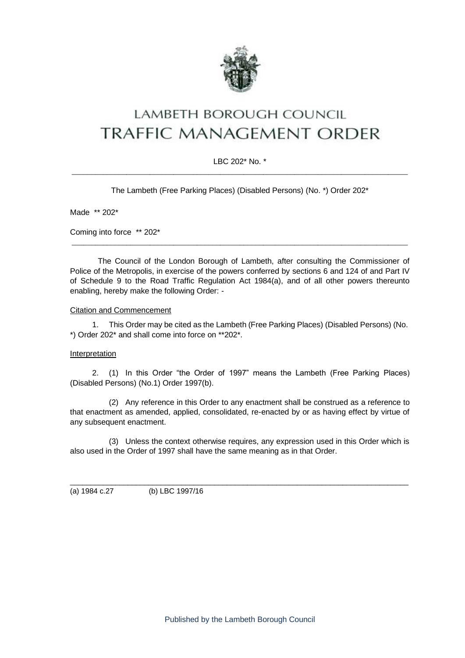

# LAMBETH BOROUGH COUNCIL **TRAFFIC MANAGEMENT ORDER**

### LBC 202\* No. \*  $\_$  , and the set of the set of the set of the set of the set of the set of the set of the set of the set of the set of the set of the set of the set of the set of the set of the set of the set of the set of the set of th

The Lambeth (Free Parking Places) (Disabled Persons) (No. \*) Order 202\*

Made \*\* 202\*

Coming into force \*\* 202\*

The Council of the London Borough of Lambeth, after consulting the Commissioner of Police of the Metropolis, in exercise of the powers conferred by sections 6 and 124 of and Part IV of Schedule 9 to the Road Traffic Regulation Act 1984(a), and of all other powers thereunto enabling, hereby make the following Order: -

\_\_\_\_\_\_\_\_\_\_\_\_\_\_\_\_\_\_\_\_\_\_\_\_\_\_\_\_\_\_\_\_\_\_\_\_\_\_\_\_\_\_\_\_\_\_\_\_\_\_\_\_\_\_\_\_\_\_\_\_\_\_\_\_\_\_\_\_\_\_\_\_\_\_\_\_\_\_\_\_\_\_\_\_\_\_

#### Citation and Commencement

1. This Order may be cited as the Lambeth (Free Parking Places) (Disabled Persons) (No. \*) Order 202\* and shall come into force on \*\*202\*.

#### **Interpretation**

2. (1) In this Order "the Order of 1997" means the Lambeth (Free Parking Places) (Disabled Persons) (No.1) Order 1997(b).

(2) Any reference in this Order to any enactment shall be construed as a reference to that enactment as amended, applied, consolidated, re-enacted by or as having effect by virtue of any subsequent enactment.

(3) Unless the context otherwise requires, any expression used in this Order which is also used in the Order of 1997 shall have the same meaning as in that Order.

\_\_\_\_\_\_\_\_\_\_\_\_\_\_\_\_\_\_\_\_\_\_\_\_\_\_\_\_\_\_\_\_\_\_\_\_\_\_\_\_\_\_\_\_\_\_\_\_\_\_\_\_\_\_\_\_\_\_\_\_\_\_\_\_\_\_\_\_\_\_\_\_\_\_\_\_\_\_\_\_\_\_

(a) 1984 c.27 (b) LBC 1997/16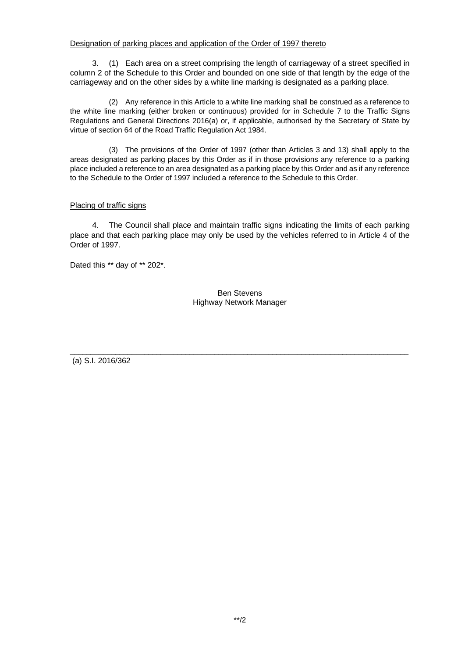#### Designation of parking places and application of the Order of 1997 thereto

3. (1) Each area on a street comprising the length of carriageway of a street specified in column 2 of the Schedule to this Order and bounded on one side of that length by the edge of the carriageway and on the other sides by a white line marking is designated as a parking place.

(2) Any reference in this Article to a white line marking shall be construed as a reference to the white line marking (either broken or continuous) provided for in Schedule 7 to the Traffic Signs Regulations and General Directions 2016(a) or, if applicable, authorised by the Secretary of State by virtue of section 64 of the Road Traffic Regulation Act 1984.

(3) The provisions of the Order of 1997 (other than Articles 3 and 13) shall apply to the areas designated as parking places by this Order as if in those provisions any reference to a parking place included a reference to an area designated as a parking place by this Order and as if any reference to the Schedule to the Order of 1997 included a reference to the Schedule to this Order.

#### Placing of traffic signs

4. The Council shall place and maintain traffic signs indicating the limits of each parking place and that each parking place may only be used by the vehicles referred to in Article 4 of the Order of 1997.

Dated this \*\* day of \*\* 202\*.

Ben Stevens Highway Network Manager

\_\_\_\_\_\_\_\_\_\_\_\_\_\_\_\_\_\_\_\_\_\_\_\_\_\_\_\_\_\_\_\_\_\_\_\_\_\_\_\_\_\_\_\_\_\_\_\_\_\_\_\_\_\_\_\_\_\_\_\_\_\_\_\_\_\_\_\_\_\_\_\_\_\_\_\_\_\_\_\_\_\_

(a) S.I. 2016/362